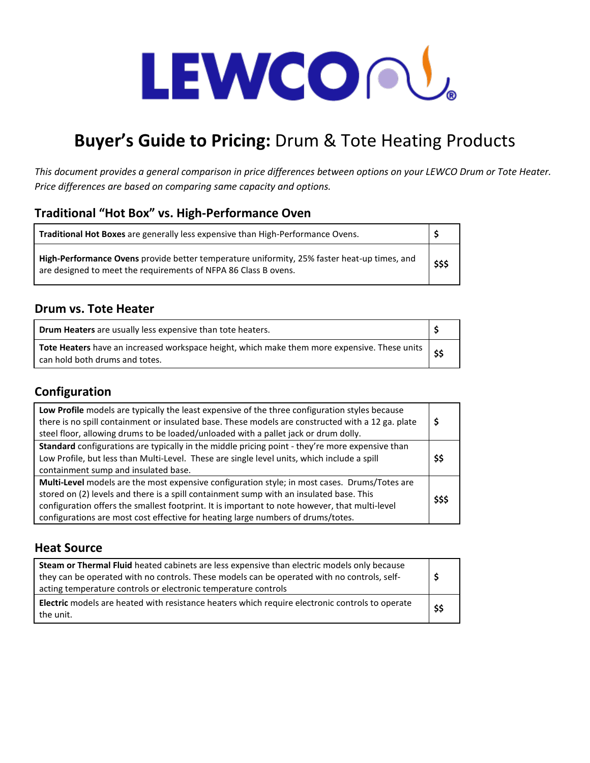# LEWCOOU.

## **Buyer's Guide to Pricing:** Drum & Tote Heating Products

*This document provides a general comparison in price differences between options on your LEWCO Drum or Tote Heater. Price differences are based on comparing same capacity and options.*

#### **Traditional "Hot Box" vs. High-Performance Oven**

| <b>Traditional Hot Boxes</b> are generally less expensive than High-Performance Ovens.                                                                         |        |
|----------------------------------------------------------------------------------------------------------------------------------------------------------------|--------|
| High-Performance Ovens provide better temperature uniformity, 25% faster heat-up times, and<br>are designed to meet the requirements of NFPA 86 Class B ovens. | \$\$\$ |

#### **Drum vs. Tote Heater**

| <b>Drum Heaters</b> are usually less expensive than tote heaters.                                                                   |  |
|-------------------------------------------------------------------------------------------------------------------------------------|--|
| Tote Heaters have an increased workspace height, which make them more expensive. These units   ed<br>can hold both drums and totes. |  |

#### **Configuration**

| Low Profile models are typically the least expensive of the three configuration styles because<br>there is no spill containment or insulated base. These models are constructed with a 12 ga. plate<br>steel floor, allowing drums to be loaded/unloaded with a pallet jack or drum dolly.                                                                                     | \$     |
|--------------------------------------------------------------------------------------------------------------------------------------------------------------------------------------------------------------------------------------------------------------------------------------------------------------------------------------------------------------------------------|--------|
| Standard configurations are typically in the middle pricing point - they're more expensive than<br>Low Profile, but less than Multi-Level. These are single level units, which include a spill<br>containment sump and insulated base.                                                                                                                                         | \$\$   |
| Multi-Level models are the most expensive configuration style; in most cases. Drums/Totes are<br>stored on (2) levels and there is a spill containment sump with an insulated base. This<br>configuration offers the smallest footprint. It is important to note however, that multi-level<br>configurations are most cost effective for heating large numbers of drums/totes. | \$\$\$ |

#### **Heat Source**

| Steam or Thermal Fluid heated cabinets are less expensive than electric models only because<br>they can be operated with no controls. These models can be operated with no controls, self-<br>acting temperature controls or electronic temperature controls |      |
|--------------------------------------------------------------------------------------------------------------------------------------------------------------------------------------------------------------------------------------------------------------|------|
| <b>Electric</b> models are heated with resistance heaters which require electronic controls to operate<br>the unit.                                                                                                                                          | \$\$ |